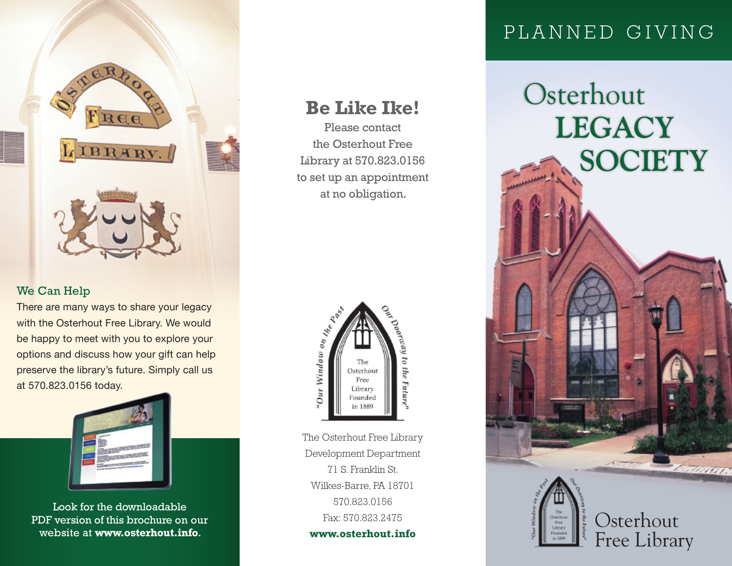

## We Can Help

There are many ways to share your legacy with the Osterhout Free Library. We would be happy to meet with you to explore your options and discuss how your gift can help preserve the library's future. Simply call us at 570.823.0156 today.



Look for the downloadable PDF version of this brochure on our

## **Be Like Ike!**

Please contact the Osterhout Free Library at 570.823.0156 to set up an appointment at no obligation.



The Osterhout Free Library Development Department 71 S. Franklin St. Wilkes-Barre, PA 18701 570.823.0156 Fax: 570.823.2475 **www.osterhout.info**

## P L A N N E D G I V I N G